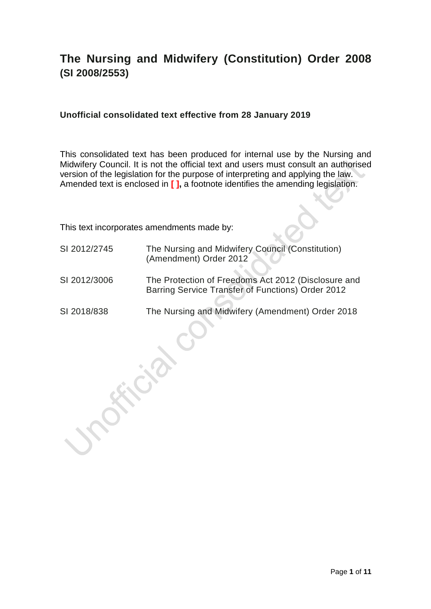# **The Nursing and Midwifery (Constitution) Order 2008 (SI 2008/2553)**

#### **Unofficial consolidated text effective from 28 January 2019**

This consolidated text has been produced for internal use by the Nursing and Midwifery Council. It is not the official text and users must consult an authorised version of the legislation for the purpose of interpreting and applying the law. Amended text is enclosed in **[ ],** a footnote identifies the amending legislation.

This text incorporates amendments made by:

- SI 2012/2745 The Nursing and Midwifery Council (Constitution) (Amendment) Order 2012
- SI 2012/3006 The Protection of Freedoms Act 2012 (Disclosure and Barring Service Transfer of Functions) Order 2012
- SI 2018/838 The Nursing and Midwifery (Amendment) Order 2018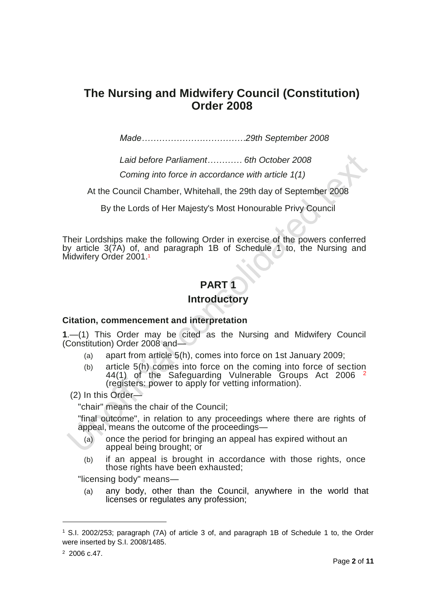# **The Nursing and Midwifery Council (Constitution) Order 2008**

*Made………………………………29th September 2008*

*Laid before Parliament………… 6th October 2008*

*Coming into force in accordance with article 1(1)*

At the Council Chamber, Whitehall, the 29th day of September 2008

By the Lords of Her Majesty's Most Honourable Privy Council

Their Lordships make the following Order in exercise of the powers conferred by article 3(7A) of, and paragraph 1B of Schedule 1 to, the Nursing and Midwifery Order 2001.<sup>1</sup>

# **PART 1**

#### **Introductory**

#### **Citation, commencement and interpretation**

**1**.—(1) This Order may be cited as the Nursing and Midwifery Council (Constitution) Order 2008 and—

- (a) apart from article 5(h), comes into force on 1st January 2009;
- (b) article 5(h) comes into force on the coming into force of section 44(1) of the Safeguarding Vulnerable Groups Act 2006 <sup>2</sup> (registers: power to apply for vetting information).

(2) In this Order—

"chair" means the chair of the Council;

"final outcome", in relation to any proceedings where there are rights of appeal, means the outcome of the proceedings—

- (a) once the period for bringing an appeal has expired without an appeal being brought; or
- (b) if an appeal is brought in accordance with those rights, once those rights have been exhausted;

"licensing body" means—

(a) any body, other than the Council, anywhere in the world that licenses or regulates any profession;

<sup>1</sup> S.I. 2002/253; paragraph (7A) of article 3 of, and paragraph 1B of Schedule 1 to, the Order were inserted by S.I. 2008/1485.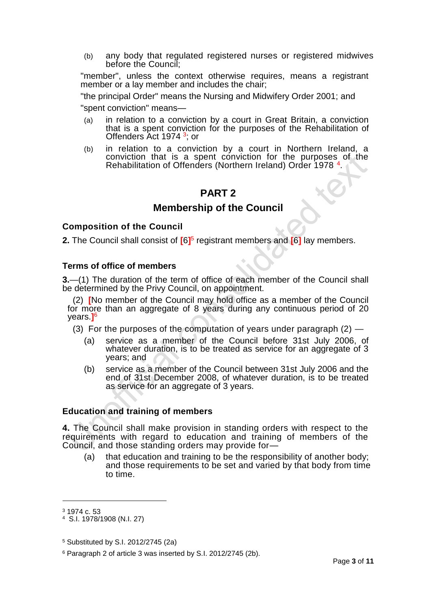(b) any body that regulated registered nurses or registered midwives before the Council;

"member", unless the context otherwise requires, means a registrant member or a lay member and includes the chair;

"the principal Order" means the Nursing and Midwifery Order 2001; and

"spent conviction" means—

- (a) in relation to a conviction by a court in Great Britain, a conviction that is a spent conviction for the purposes of the Rehabilitation of Offenders Act 1974<sup>3</sup>; or
- (b) in relation to a conviction by a court in Northern Ireland, a conviction that is a spent conviction for the purposes of the Rehabilitation of Offenders (Northern Ireland) Order 1978<sup>4</sup>.

### **PART 2**

#### **Membership of the Council**

#### **Composition of the Council**

**2.** The Council shall consist of  $[6]$ <sup>5</sup> registrant members and  $[6]$  lay members.

#### **Terms of office of members**

**3.**—(1) The duration of the term of office of each member of the Council shall be determined by the Privy Council, on appointment.

(2) **[**No member of the Council may hold office as a member of the Council for more than an aggregate of 8 years during any continuous period of 20 years.**]** 6

(3) For the purposes of the computation of years under paragraph  $(2)$  —

- (a) service as a member of the Council before 31st July 2006, of whatever duration, is to be treated as service for an aggregate of 3 years; and
- (b) service as a member of the Council between 31st July 2006 and the end of 31st December 2008, of whatever duration, is to be treated as service for an aggregate of 3 years.

#### **Education and training of members**

**4.** The Council shall make provision in standing orders with respect to the requirements with regard to education and training of members of the Council, and those standing orders may provide for—

(a) that education and training to be the responsibility of another body; and those requirements to be set and varied by that body from time to time.

<sup>3</sup> 1974 c. 53

<sup>4</sup> S.I. 1978/1908 (N.I. 27)

<sup>5</sup> Substituted by S.I. 2012/2745 (2a)

<sup>6</sup> Paragraph 2 of article 3 was inserted by S.I. 2012/2745 (2b).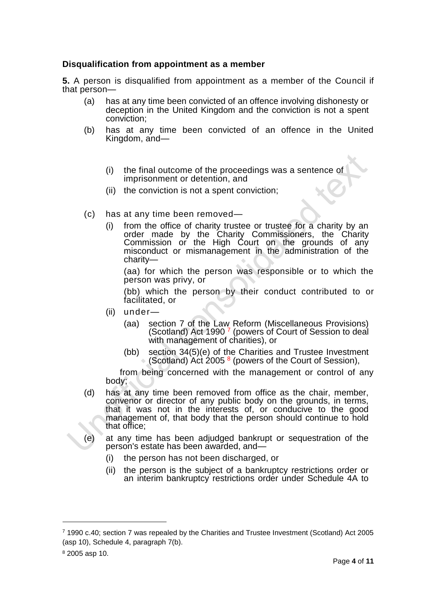#### **Disqualification from appointment as a member**

**5.** A person is disqualified from appointment as a member of the Council if that person—

- (a) has at any time been convicted of an offence involving dishonesty or deception in the United Kingdom and the conviction is not a spent conviction;
- (b) has at any time been convicted of an offence in the United Kingdom, and—
	- (i) the final outcome of the proceedings was a sentence of imprisonment or detention, and
	- (ii) the conviction is not a spent conviction;
- (c) has at any time been removed—
	- (i) from the office of charity trustee or trustee for a charity by an order made by the Charity Commissioners, the Charity Commission or the High Court on the grounds of any misconduct or mismanagement in the administration of the charity—

(aa) for which the person was responsible or to which the person was privy, or

(bb) which the person by their conduct contributed to or facilitated, or

- (ii) under—
	- (aa) section 7 of the Law Reform (Miscellaneous Provisions) (Scotland) Act 1990<sup>7</sup> (powers of Court of Session to deal with management of charities), or
	- (bb) section 34(5)(e) of the Charities and Trustee Investment (Scotland) Act 2005<sup>8</sup> (powers of the Court of Session),

from being concerned with the management or control of any body;

- (d) has at any time been removed from office as the chair, member, convenor or director of any public body on the grounds, in terms, that it was not in the interests of, or conducive to the good management of, that body that the person should continue to hold that office;
- (e) at any time has been adjudged bankrupt or sequestration of the person's estate has been awarded, and—
	- (i) the person has not been discharged, or
	- (ii) the person is the subject of a bankruptcy restrictions order or an interim bankruptcy restrictions order under Schedule 4A to

<sup>7</sup> 1990 c.40; section 7 was repealed by the Charities and Trustee Investment (Scotland) Act 2005 (asp 10), Schedule 4, paragraph 7(b).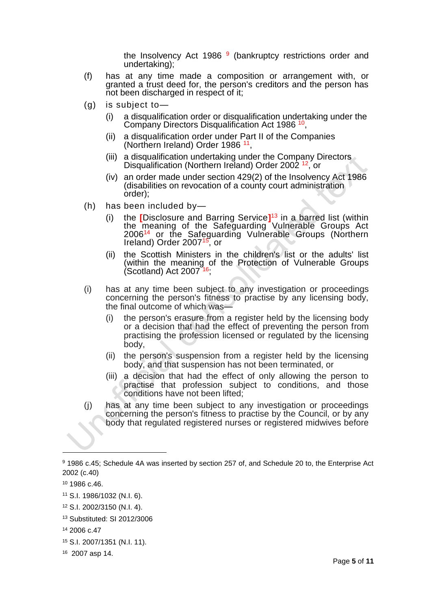the Insolvency Act 1986<sup>9</sup> (bankruptcy restrictions order and undertaking);

- (f) has at any time made a composition or arrangement with, or granted a trust deed for, the person's creditors and the person has not been discharged in respect of it;
- (g) is subject to—
	- (i) a disqualification order or disqualification undertaking under the Company Directors Disqualification Act 1986<sup>10</sup>,
	- (ii) a disqualification order under Part II of the Companies (Northern Ireland) Order 1986<sup>11</sup>,
	- (iii) a disqualification undertaking under the Company Directors Disqualification (Northern Ireland) Order 2002<sup>12</sup>, or
	- (iv) an order made under section 429(2) of the Insolvency Act 1986 (disabilities on revocation of a county court administration order);
- (h) has been included by—
	- (i) the **[**Disclosure and Barring Service**]** <sup>13</sup> in a barred list (within the meaning of the Safeguarding Vulnerable Groups Act 2006<sup>14</sup> or the Safeguarding Vulnerable Groups (Northern Ireland) Order 2007<sup>15</sup>, or
	- (ii) the Scottish Ministers in the children's list or the adults' list (within the meaning of the Protection of Vulnerable Groups  $($ Scotland) Act 2007 $^{\text{716}}$ ;
- (i) has at any time been subject to any investigation or proceedings concerning the person's fitness to practise by any licensing body, the final outcome of which was—
	- (i) the person's erasure from a register held by the licensing body or a decision that had the effect of preventing the person from practising the profession licensed or regulated by the licensing body,
	- (ii) the person's suspension from a register held by the licensing body, and that suspension has not been terminated, or
	- (iii) a decision that had the effect of only allowing the person to practise that profession subject to conditions, and those conditions have not been lifted;
- (j) has at any time been subject to any investigation or proceedings concerning the person's fitness to practise by the Council, or by any body that regulated registered nurses or registered midwives before

<sup>9</sup> 1986 c.45; Schedule 4A was inserted by section 257 of, and Schedule 20 to, the Enterprise Act 2002 (c.40)

<sup>10</sup> 1986 c.46.

<sup>11</sup> S.I. 1986/1032 (N.I. 6).

<sup>12</sup> S.I. 2002/3150 (N.I. 4).

<sup>13</sup> Substituted: SI 2012/3006

<sup>14</sup> 2006 c.47

<sup>15</sup> S.I. 2007/1351 (N.I. 11).

<sup>16</sup> 2007 asp 14.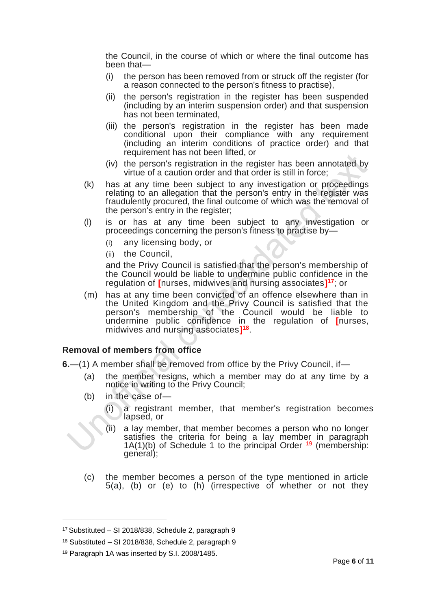the Council, in the course of which or where the final outcome has been that—

- (i) the person has been removed from or struck off the register (for a reason connected to the person's fitness to practise),
- (ii) the person's registration in the register has been suspended (including by an interim suspension order) and that suspension has not been terminated,
- (iii) the person's registration in the register has been made conditional upon their compliance with any requirement (including an interim conditions of practice order) and that requirement has not been lifted, or
- (iv) the person's registration in the register has been annotated by virtue of a caution order and that order is still in force;
- (k) has at any time been subject to any investigation or proceedings relating to an allegation that the person's entry in the register was fraudulently procured, the final outcome of which was the removal of the person's entry in the register;
- (l) is or has at any time been subject to any investigation or proceedings concerning the person's fitness to practise by—
	- (i) any licensing body, or
	- (ii) the Council,

and the Privy Council is satisfied that the person's membership of the Council would be liable to undermine public confidence in the regulation of **[**nurses, midwives and nursing associates**] <sup>17</sup>**; or

(m) has at any time been convicted of an offence elsewhere than in the United Kingdom and the Privy Council is satisfied that the person's membership of the Council would be liable to undermine public confidence in the regulation of **[**nurses, midwives and nursing associates**] 18** .

#### **Removal of members from office**

**6.**—(1) A member shall be removed from office by the Privy Council, if—

- (a) the member resigns, which a member may do at any time by a notice in writing to the Privy Council;
- (b) in the case of—
	- (i) a registrant member, that member's registration becomes lapsed, or
	- (ii) a lay member, that member becomes a person who no longer satisfies the criteria for being a lay member in paragraph  $1A(1)(b)$  of Schedule 1 to the principal Order  $19$  (membership: general);
- (c) the member becomes a person of the type mentioned in article 5(a), (b) or (e) to (h) (irrespective of whether or not they

<sup>17</sup> Substituted – SI 2018/838, Schedule 2, paragraph 9

<sup>18</sup> Substituted – SI 2018/838, Schedule 2, paragraph 9

<sup>19</sup> Paragraph 1A was inserted by S.I. 2008/1485.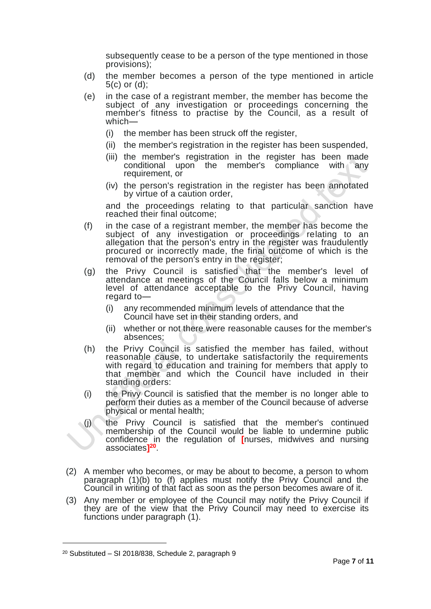subsequently cease to be a person of the type mentioned in those provisions);

- (d) the member becomes a person of the type mentioned in article 5(c) or (d);
- (e) in the case of a registrant member, the member has become the subject of any investigation or proceedings concerning the member's fitness to practise by the Council, as a result of which—
	- (i) the member has been struck off the register,
	- (ii) the member's registration in the register has been suspended,
	- (iii) the member's registration in the register has been made conditional upon the member's compliance with any requirement, or
	- (iv) the person's registration in the register has been annotated by virtue of a caution order,

and the proceedings relating to that particular sanction have reached their final outcome;

- (f) in the case of a registrant member, the member has become the subject of any investigation or proceedings relating to an allegation that the person's entry in the register was fraudulently procured or incorrectly made, the final outcome of which is the removal of the person's entry in the register;
- (g) the Privy Council is satisfied that the member's level of attendance at meetings of the Council falls below a minimum level of attendance acceptable to the Privy Council, having regard to—
	- (i) any recommended minimum levels of attendance that the Council have set in their standing orders, and
	- (ii) whether or not there were reasonable causes for the member's absences;
- (h) the Privy Council is satisfied the member has failed, without reasonable cause, to undertake satisfactorily the requirements with regard to education and training for members that apply to that member and which the Council have included in their standing orders:
- (i) the Privy Council is satisfied that the member is no longer able to perform their duties as a member of the Council because of adverse physical or mental health;
- (j) the Privy Council is satisfied that the member's continued membership of the Council would be liable to undermine public confidence in the regulation of **[**nurses, midwives and nursing associates**] 20** .
- (2) A member who becomes, or may be about to become, a person to whom paragraph (1)(b) to (f) applies must notify the Privy Council and the Council in writing of that fact as soon as the person becomes aware of it.
- (3) Any member or employee of the Council may notify the Privy Council if they are of the view that the Privy Council may need to exercise its functions under paragraph (1).

 $20$  Substituted – SI 2018/838, Schedule 2, paragraph 9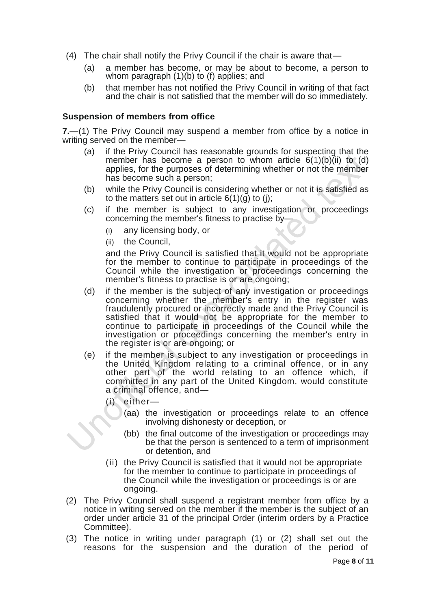- (4) The chair shall notify the Privy Council if the chair is aware that—
	- (a) a member has become, or may be about to become, a person to whom paragraph (1)(b) to (f) applies; and
	- (b) that member has not notified the Privy Council in writing of that fact and the chair is not satisfied that the member will do so immediately.

#### **Suspension of members from office**

**7.**—(1) The Privy Council may suspend a member from office by a notice in writing served on the member—

- (a) if the Privy Council has reasonable grounds for suspecting that the member has become a person to whom article  $6(1)(b)(ii)$  to (d) applies, for the purposes of determining whether or not the member has become such a person;
- (b) while the Privy Council is considering whether or not it is satisfied as to the matters set out in article  $6(1)(g)$  to (j);
- (c) if the member is subject to any investigation or proceedings concerning the member's fitness to practise by—
	- (i) any licensing body, or
	- (ii) the Council,

and the Privy Council is satisfied that it would not be appropriate for the member to continue to participate in proceedings of the Council while the investigation or proceedings concerning the member's fitness to practise is or are ongoing;

- (d) if the member is the subject of any investigation or proceedings concerning whether the member's entry in the register was fraudulently procured or incorrectly made and the Privy Council is satisfied that it would not be appropriate for the member to continue to participate in proceedings of the Council while the investigation or proceedings concerning the member's entry in the register is or are ongoing; or
- (e) if the member is subject to any investigation or proceedings in the United Kingdom relating to a criminal offence, or in any other part of the world relating to an offence which, if committed in any part of the United Kingdom, would constitute a criminal offence, and—
	- (i) either—
		- (aa) the investigation or proceedings relate to an offence involving dishonesty or deception, or
		- (bb) the final outcome of the investigation or proceedings may be that the person is sentenced to a term of imprisonment or detention, and
	- (ii) the Privy Council is satisfied that it would not be appropriate for the member to continue to participate in proceedings of the Council while the investigation or proceedings is or are ongoing.
- (2) The Privy Council shall suspend a registrant member from office by a notice in writing served on the member if the member is the subject of an order under article 31 of the principal Order (interim orders by a Practice Committee).
- (3) The notice in writing under paragraph (1) or (2) shall set out the reasons for the suspension and the duration of the period of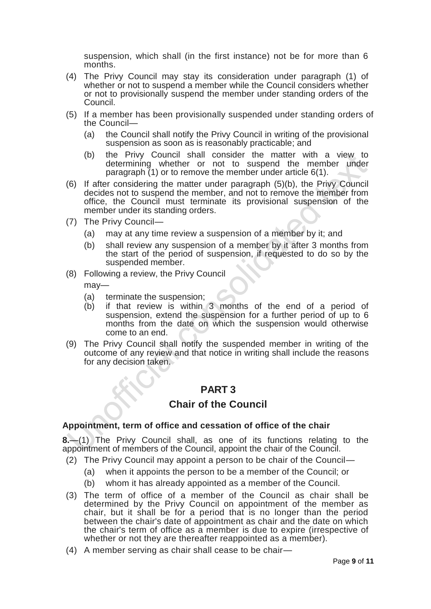suspension, which shall (in the first instance) not be for more than 6 months.

- (4) The Privy Council may stay its consideration under paragraph (1) of whether or not to suspend a member while the Council considers whether or not to provisionally suspend the member under standing orders of the Council.
- (5) If a member has been provisionally suspended under standing orders of the Council—
	- (a) the Council shall notify the Privy Council in writing of the provisional suspension as soon as is reasonably practicable; and
	- (b) the Privy Council shall consider the matter with a view to determining whether or not to suspend the member under paragraph (1) or to remove the member under article 6(1).
- (6) If after considering the matter under paragraph (5)(b), the Privy Council decides not to suspend the member, and not to remove the member from office, the Council must terminate its provisional suspension of the member under its standing orders.
- (7) The Privy Council—
	- (a) may at any time review a suspension of a member by it; and
	- (b) shall review any suspension of a member by it after 3 months from the start of the period of suspension, if requested to do so by the suspended member.

(8) Following a review, the Privy Council

may—

- (a) terminate the suspension;
- (b) if that review is within 3 months of the end of a period of suspension, extend the suspension for a further period of up to 6 months from the date on which the suspension would otherwise come to an end.
- (9) The Privy Council shall notify the suspended member in writing of the outcome of any review and that notice in writing shall include the reasons for any decision taken.

# **PART 3**

## **Chair of the Council**

#### **Appointment, term of office and cessation of office of the chair**

**8.**—(1) The Privy Council shall, as one of its functions relating to the appointment of members of the Council, appoint the chair of the Council.

- (2) The Privy Council may appoint a person to be chair of the Council—
	- (a) when it appoints the person to be a member of the Council; or
	- (b) whom it has already appointed as a member of the Council.
- (3) The term of office of a member of the Council as chair shall be determined by the Privy Council on appointment of the member as chair, but it shall be for a period that is no longer than the period between the chair's date of appointment as chair and the date on which the chair's term of office as a member is due to expire (irrespective of whether or not they are thereafter reappointed as a member).
- (4) A member serving as chair shall cease to be chair—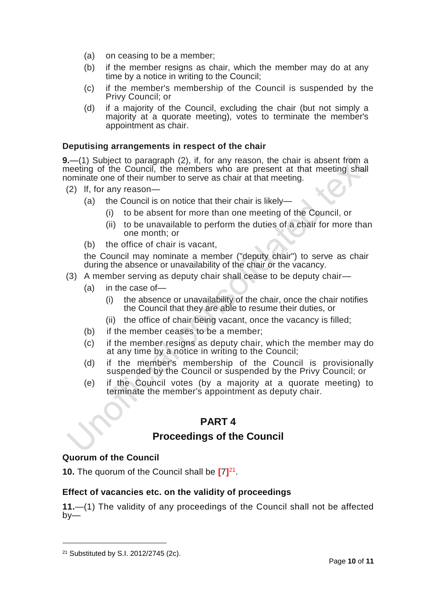- (a) on ceasing to be a member;
- (b) if the member resigns as chair, which the member may do at any time by a notice in writing to the Council;
- (c) if the member's membership of the Council is suspended by the Privy Council; or
- (d) if a majority of the Council, excluding the chair (but not simply a majority at a quorate meeting), votes to terminate the member's appointment as chair.

#### **Deputising arrangements in respect of the chair**

**9.**—(1) Subject to paragraph (2), if, for any reason, the chair is absent from a meeting of the Council, the members who are present at that meeting shall nominate one of their number to serve as chair at that meeting.

- (2) lf, for any reason—
	- (a) the Council is on notice that their chair is likely—
		- (i) to be absent for more than one meeting of the Council, or
		- (ii) to be unavailable to perform the duties of a chair for more than one month; or
	- (b) the office of chair is vacant,

the Council may nominate a member ("deputy chair") to serve as chair during the absence or unavailability of the chair or the vacancy.

- (3) A member serving as deputy chair shall cease to be deputy chair—
	- (a) in the case of—
		- (i) the absence or unavailability of the chair, once the chair notifies the Council that they are able to resume their duties, or
		- (ii) the office of chair being vacant, once the vacancy is filled;
	- (b) if the member ceases to be a member;
	- (c) if the member resigns as deputy chair, which the member may do at any time by a notice in writing to the Council;
	- (d) if the member's membership of the Council is provisionally suspended by the Council or suspended by the Privy Council; or
	- (e) if the Council votes (by a majority at a quorate meeting) to terminate the member's appointment as deputy chair.

## **PART 4**

### **Proceedings of the Council**

#### **Quorum of the Council**

**10.** The quorum of the Council shall be **[**7**]** 21 .

#### **Effect of vacancies etc. on the validity of proceedings**

**11.**—(1) The validity of any proceedings of the Council shall not be affected  $by-$ 

<sup>21</sup> Substituted by S.I. 2012/2745 (2c).